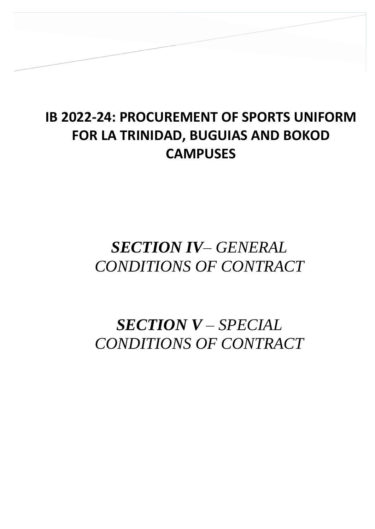## **IB 2022-24: PROCUREMENT OF SPORTS UNIFORM FOR LA TRINIDAD, BUGUIAS AND BOKOD CAMPUSES**

**SECTION IV – GENERAL CONDITIONS OF** 

## *SECTION IV– GENERAL CONDITIONS OF CONTRACT*

# *SECTION V – SPECIAL CONDITIONS OF CONTRACT*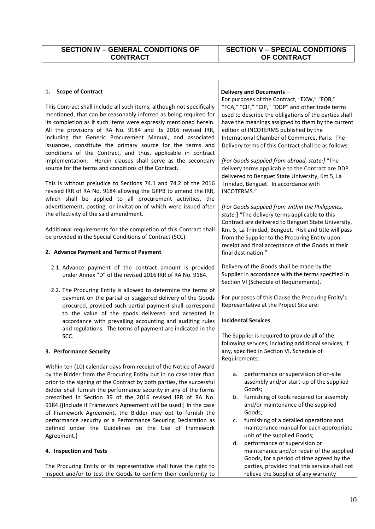#### **1. Scope of Contract**

This Contract shall include all such items, although not specifically mentioned, that can be reasonably inferred as being required for its completion as if such items were expressly mentioned herein. All the provisions of RA No. 9184 and its 2016 revised IRR, including the Generic Procurement Manual, and associated issuances, constitute the primary source for the terms and conditions of the Contract, and thus, applicable in contract implementation. Herein clauses shall serve as the secondary source for the terms and conditions of the Contract.

This is without prejudice to Sections 74.1 and 74.2 of the 2016 revised IRR of RA No. 9184 allowing the GPPB to amend the IRR, which shall be applied to all procurement activities, the advertisement, posting, or invitation of which were issued after the effectivity of the said amendment.

Additional requirements for the completion of this Contract shall be provided in the Special Conditions of Contract (SCC).

#### **2. Advance Payment and Terms of Payment**

- 2.1. Advance payment of the contract amount is provided under Annex "D" of the revised 2016 IRR of RA No. 9184.
- 2.2. The Procuring Entity is allowed to determine the terms of payment on the partial or staggered delivery of the Goods procured, provided such partial payment shall correspond to the value of the goods delivered and accepted in accordance with prevailing accounting and auditing rules and regulations. The terms of payment are indicated in the SCC.

#### **3. Performance Security**

Within ten (10) calendar days from receipt of the Notice of Award by the Bidder from the Procuring Entity but in no case later than prior to the signing of the Contract by both parties, the successful Bidder shall furnish the performance security in any of the forms prescribed in Section 39 of the 2016 revised IRR of RA No. 9184.{[Include if Framework Agreement will be used:] In the case of Framework Agreement, the Bidder may opt to furnish the performance security or a Performance Securing Declaration as defined under the Guidelines on the Use of Framework Agreement.}

#### **4. Inspection and Tests**

The Procuring Entity or its representative shall have the right to inspect and/or to test the Goods to confirm their conformity to

#### **Delivery and Documents –**

For purposes of the Contract, "EXW," "FOB," "FCA," "CIF," "CIP," "DDP" and other trade terms used to describe the obligations of the parties shall have the meanings assigned to them by the current edition of INCOTERMS published by the International Chamber of Commerce, Paris. The Delivery terms of this Contract shall be as follows:

*[For Goods supplied from abroad, state:]* "The delivery terms applicable to the Contract are DDP delivered to Benguet State University, Km 5, La Trinidad, Benguet. In accordance with INCOTERMS."

*[For Goods supplied from within the Philippines, state:*] "The delivery terms applicable to this Contract are delivered to Benguet State University, Km. 5, La Trinidad, Benguet*.* Risk and title will pass from the Supplier to the Procuring Entity upon receipt and final acceptance of the Goods at their final destination."

Delivery of the Goods shall be made by the Supplier in accordance with the terms specified in Section VI (Schedule of Requirements).

For purposes of this Clause the Procuring Entity's Representative at the Project Site are:

#### **Incidental Services**

The Supplier is required to provide all of the following services, including additional services, if any, specified in Section VI. Schedule of Requirements:

- a. performance or supervision of on-site assembly and/or start-up of the supplied Goods;
- b. furnishing of tools required for assembly and/or maintenance of the supplied Goods;
- c. furnishing of a detailed operations and maintenance manual for each appropriate unit of the supplied Goods;
- d. performance or supervision or maintenance and/or repair of the supplied Goods, for a period of time agreed by the parties, provided that this service shall not relieve the Supplier of any warranty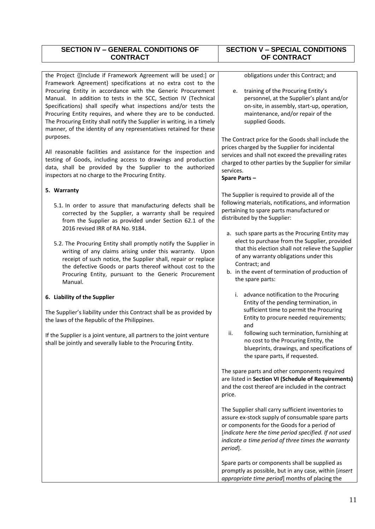| <b>SECTION IV - GENERAL CONDITIONS OF</b>                                                                                                                                                                                                                                                                                                                                                                                                                                                                                                                       | <b>SECTION V - SPECIAL CONDITIONS</b>                                                                                                                                                                                                                                                   |
|-----------------------------------------------------------------------------------------------------------------------------------------------------------------------------------------------------------------------------------------------------------------------------------------------------------------------------------------------------------------------------------------------------------------------------------------------------------------------------------------------------------------------------------------------------------------|-----------------------------------------------------------------------------------------------------------------------------------------------------------------------------------------------------------------------------------------------------------------------------------------|
| <b>CONTRACT</b>                                                                                                                                                                                                                                                                                                                                                                                                                                                                                                                                                 | OF CONTRACT                                                                                                                                                                                                                                                                             |
| the Project {[Include if Framework Agreement will be used:] or<br>Framework Agreement} specifications at no extra cost to the<br>Procuring Entity in accordance with the Generic Procurement<br>Manual. In addition to tests in the SCC, Section IV (Technical<br>Specifications) shall specify what inspections and/or tests the<br>Procuring Entity requires, and where they are to be conducted.<br>The Procuring Entity shall notify the Supplier in writing, in a timely<br>manner, of the identity of any representatives retained for these<br>purposes. | obligations under this Contract; and<br>training of the Procuring Entity's<br>e.<br>personnel, at the Supplier's plant and/or<br>on-site, in assembly, start-up, operation,<br>maintenance, and/or repair of the<br>supplied Goods.                                                     |
| All reasonable facilities and assistance for the inspection and<br>testing of Goods, including access to drawings and production<br>data, shall be provided by the Supplier to the authorized<br>inspectors at no charge to the Procuring Entity.                                                                                                                                                                                                                                                                                                               | The Contract price for the Goods shall include the<br>prices charged by the Supplier for incidental<br>services and shall not exceed the prevailing rates<br>charged to other parties by the Supplier for similar<br>services.<br>Spare Parts-                                          |
| 5. Warranty                                                                                                                                                                                                                                                                                                                                                                                                                                                                                                                                                     |                                                                                                                                                                                                                                                                                         |
| 5.1. In order to assure that manufacturing defects shall be<br>corrected by the Supplier, a warranty shall be required<br>from the Supplier as provided under Section 62.1 of the<br>2016 revised IRR of RA No. 9184.                                                                                                                                                                                                                                                                                                                                           | The Supplier is required to provide all of the<br>following materials, notifications, and information<br>pertaining to spare parts manufactured or<br>distributed by the Supplier:                                                                                                      |
| 5.2. The Procuring Entity shall promptly notify the Supplier in<br>writing of any claims arising under this warranty. Upon<br>receipt of such notice, the Supplier shall, repair or replace<br>the defective Goods or parts thereof without cost to the<br>Procuring Entity, pursuant to the Generic Procurement<br>Manual.                                                                                                                                                                                                                                     | a. such spare parts as the Procuring Entity may<br>elect to purchase from the Supplier, provided<br>that this election shall not relieve the Supplier<br>of any warranty obligations under this<br>Contract; and<br>b. in the event of termination of production of<br>the spare parts: |
| 6. Liability of the Supplier                                                                                                                                                                                                                                                                                                                                                                                                                                                                                                                                    | i. advance notification to the Procuring<br>Entity of the pending termination, in                                                                                                                                                                                                       |
| The Supplier's liability under this Contract shall be as provided by<br>the laws of the Republic of the Philippines.                                                                                                                                                                                                                                                                                                                                                                                                                                            | sufficient time to permit the Procuring<br>Entity to procure needed requirements;<br>and                                                                                                                                                                                                |
| If the Supplier is a joint venture, all partners to the joint venture<br>shall be jointly and severally liable to the Procuring Entity.                                                                                                                                                                                                                                                                                                                                                                                                                         | ii.<br>following such termination, furnishing at<br>no cost to the Procuring Entity, the<br>blueprints, drawings, and specifications of<br>the spare parts, if requested.                                                                                                               |
|                                                                                                                                                                                                                                                                                                                                                                                                                                                                                                                                                                 | The spare parts and other components required<br>are listed in Section VI (Schedule of Requirements)<br>and the cost thereof are included in the contract<br>price.                                                                                                                     |
|                                                                                                                                                                                                                                                                                                                                                                                                                                                                                                                                                                 | The Supplier shall carry sufficient inventories to<br>assure ex-stock supply of consumable spare parts<br>or components for the Goods for a period of<br>[indicate here the time period specified. If not used<br>indicate a time period of three times the warranty<br>period].        |
|                                                                                                                                                                                                                                                                                                                                                                                                                                                                                                                                                                 | Spare parts or components shall be supplied as<br>promptly as possible, but in any case, within [insert<br>appropriate time period] months of placing the                                                                                                                               |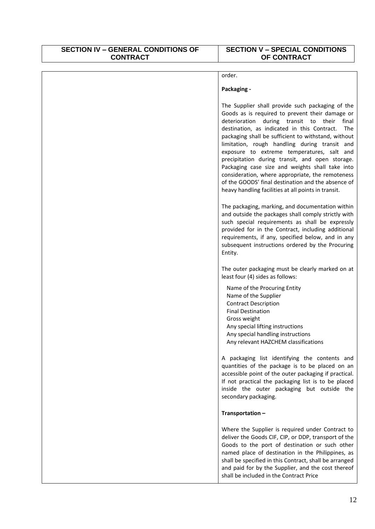### **SECTION IV – GENERAL CONDITIONS OF CONTRACT**

### **SECTION V – SPECIAL CONDITIONS OF CONTRACT**

| order.                                                                                                                                                                                                                                                                                                                                                                                                                                                                                                                                                                                                                                       |
|----------------------------------------------------------------------------------------------------------------------------------------------------------------------------------------------------------------------------------------------------------------------------------------------------------------------------------------------------------------------------------------------------------------------------------------------------------------------------------------------------------------------------------------------------------------------------------------------------------------------------------------------|
| Packaging -                                                                                                                                                                                                                                                                                                                                                                                                                                                                                                                                                                                                                                  |
| The Supplier shall provide such packaging of the<br>Goods as is required to prevent their damage or<br>deterioration during transit to their final<br>destination, as indicated in this Contract.<br><b>The</b><br>packaging shall be sufficient to withstand, without<br>limitation, rough handling during transit and<br>exposure to extreme temperatures, salt and<br>precipitation during transit, and open storage.<br>Packaging case size and weights shall take into<br>consideration, where appropriate, the remoteness<br>of the GOODS' final destination and the absence of<br>heavy handling facilities at all points in transit. |
| The packaging, marking, and documentation within<br>and outside the packages shall comply strictly with<br>such special requirements as shall be expressly<br>provided for in the Contract, including additional<br>requirements, if any, specified below, and in any<br>subsequent instructions ordered by the Procuring<br>Entity.                                                                                                                                                                                                                                                                                                         |
| The outer packaging must be clearly marked on at<br>least four (4) sides as follows:                                                                                                                                                                                                                                                                                                                                                                                                                                                                                                                                                         |
| Name of the Procuring Entity<br>Name of the Supplier<br><b>Contract Description</b><br><b>Final Destination</b><br>Gross weight<br>Any special lifting instructions<br>Any special handling instructions<br>Any relevant HAZCHEM classifications                                                                                                                                                                                                                                                                                                                                                                                             |
| A packaging list identifying the contents and<br>quantities of the package is to be placed on an<br>accessible point of the outer packaging if practical.<br>If not practical the packaging list is to be placed<br>inside the outer packaging but outside the<br>secondary packaging.                                                                                                                                                                                                                                                                                                                                                       |
| Transportation-                                                                                                                                                                                                                                                                                                                                                                                                                                                                                                                                                                                                                              |
| Where the Supplier is required under Contract to<br>deliver the Goods CIF, CIP, or DDP, transport of the<br>Goods to the port of destination or such other<br>named place of destination in the Philippines, as<br>shall be specified in this Contract, shall be arranged<br>and paid for by the Supplier, and the cost thereof<br>shall be included in the Contract Price                                                                                                                                                                                                                                                                   |